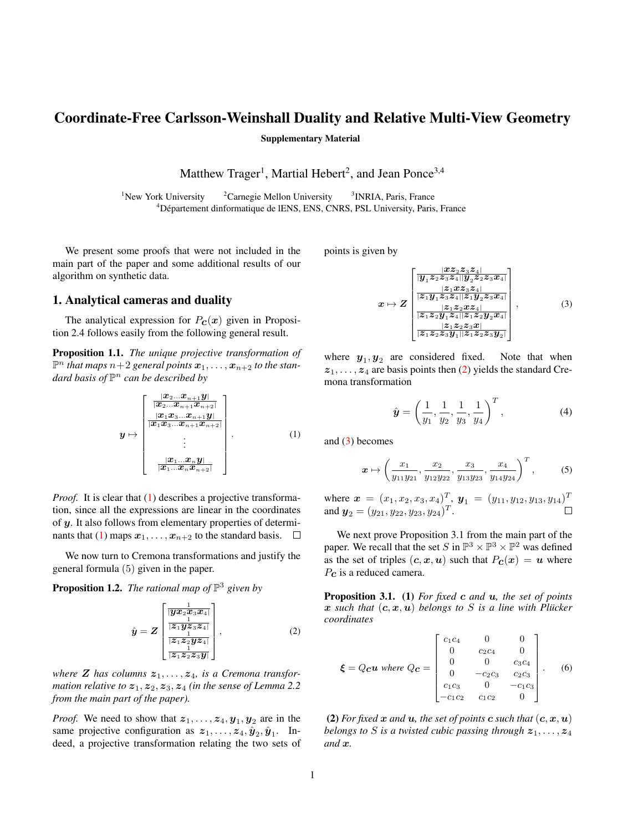# Coordinate-Free Carlsson-Weinshall Duality and Relative Multi-View Geometry

Supplementary Material

Matthew Trager<sup>1</sup>, Martial Hebert<sup>2</sup>, and Jean Ponce<sup>3,4</sup>

<sup>1</sup>New York University  $2^2$ Carnegie Mellon University <sup>3</sup> INRIA, Paris, France <sup>4</sup>Département dinformatique de lENS, ENS, CNRS, PSL University, Paris, France

We present some proofs that were not included in the main part of the paper and some additional results of our algorithm on synthetic data.

## 1. Analytical cameras and duality

The analytical expression for  $P_{\mathcal{C}}(x)$  given in Proposition 2.4 follows easily from the following general result.

Proposition 1.1. *The unique projective transformation of*  $\mathbb{P}^n$  *that maps*  $n+2$  general points  $\boldsymbol{x}_1,\ldots,\boldsymbol{x}_{n+2}$  to the stan*dard basis of* P <sup>n</sup> *can be described by*

<span id="page-0-0"></span>
$$
y \mapsto \begin{bmatrix} \frac{|\mathbf{x}_2 \dots \mathbf{x}_{n+1} y|}{|\mathbf{x}_2 \dots \mathbf{x}_{n+1} \mathbf{x}_{n+2}|} \\ \frac{|\mathbf{x}_1 \mathbf{x}_3 \dots \mathbf{x}_{n+1} \mathbf{x}_n|}{|\mathbf{x}_1 \mathbf{x}_3 \dots \mathbf{x}_{n+1} \mathbf{x}_{n+2}|} \\ \vdots \\ \frac{|\mathbf{x}_1 \dots \mathbf{x}_n y|}{|\mathbf{x}_1 \dots \mathbf{x}_n \mathbf{x}_{n+2}|} \end{bmatrix} . \tag{1}
$$

*Proof.* It is clear that [\(1\)](#page-0-0) describes a projective transformation, since all the expressions are linear in the coordinates of y. It also follows from elementary properties of determi-nants that [\(1\)](#page-0-0) maps  $x_1, \ldots, x_{n+2}$  to the standard basis.  $\Box$ 

We now turn to Cremona transformations and justify the general formula (5) given in the paper.

**Proposition 1.2.** The rational map of  $\mathbb{P}^3$  given by

<span id="page-0-1"></span>
$$
\hat{y} = Z \begin{bmatrix} \frac{1}{\left| \mathbf{y} \mathbf{x}_2 \mathbf{x}_3 \mathbf{x}_4 \right|} \\ \frac{1}{\left| \mathbf{z}_1 \mathbf{y} \mathbf{z}_3 \mathbf{z}_4 \right|} \\ \frac{1}{\left| \mathbf{z}_1 \mathbf{z}_2 \mathbf{y} \mathbf{z}_4 \right|} \\ \frac{1}{\left| \mathbf{z}_1 \mathbf{z}_2 \mathbf{z}_3 \mathbf{y} \right|} \end{bmatrix},
$$
\n
$$
(2)
$$

where **Z** has columns  $z_1, \ldots, z_4$ , is a Cremona transfor*mation relative to*  $z_1$ ,  $z_2$ ,  $z_3$ ,  $z_4$  *(in the sense of Lemma 2.2) from the main part of the paper).*

*Proof.* We need to show that  $z_1, \ldots, z_4, y_1, y_2$  are in the same projective configuration as  $z_1, \ldots, z_4, \hat{y}_2, \hat{y}_1$ . Indeed, a projective transformation relating the two sets of points is given by

<span id="page-0-2"></span>
$$
x \mapsto Z \begin{bmatrix} \frac{|xz_2z_3z_4|}{|y_1z_2z_3z_4||y_2z_2z_3x_4|} \\ \frac{|z_1xz_3z_4|}{|z_1y_1z_3z_4||z_1y_2z_3x_4|} \\ \frac{|z_1z_2yz_3z_4|}{|z_1z_2z_2z_3z_4|} \end{bmatrix}, \qquad (3)
$$

$$
\frac{|z_1z_2z_3x_4|}{|z_1z_2z_3y_1||z_1z_2z_3y_2|} \qquad (3)
$$

where  $y_1, y_2$  are considered fixed. Note that when  $z_1, \ldots, z_4$  are basis points then [\(2\)](#page-0-1) yields the standard Cremona transformation

$$
\hat{\mathbf{y}} = \left(\frac{1}{y_1}, \frac{1}{y_2}, \frac{1}{y_3}, \frac{1}{y_4}\right)^T, \tag{4}
$$

and [\(3\)](#page-0-2) becomes

$$
\boldsymbol{x} \mapsto \left(\frac{x_1}{y_{11}y_{21}}, \frac{x_2}{y_{12}y_{22}}, \frac{x_3}{y_{13}y_{23}}, \frac{x_4}{y_{14}y_{24}}\right)^T, \tag{5}
$$

where  $\mathbf{x} = (x_1, x_2, x_3, x_4)^T$ ,  $\mathbf{y}_1 = (y_{11}, y_{12}, y_{13}, y_{14})^T$ and  $y_2 = (y_{21}, y_{22}, y_{23}, y_{24})^T$ .

We next prove Proposition 3.1 from the main part of the paper. We recall that the set S in  $\mathbb{P}^3 \times \mathbb{P}^3 \times \mathbb{P}^2$  was defined as the set of triples  $(c, x, u)$  such that  $P_c(x) = u$  where  $P_{\rm C}$  is a reduced camera.

Proposition 3.1. (1) *For fixed* c *and* u*, the set of points* x such that  $(c, x, u)$  belongs to S is a line with Plücker *coordinates*

<span id="page-0-3"></span>
$$
\boldsymbol{\xi} = Qc\boldsymbol{u} \text{ where } Qc = \begin{bmatrix} c_1c_4 & 0 & 0 \\ 0 & c_2c_4 & 0 \\ 0 & 0 & c_3c_4 \\ 0 & -c_2c_3 & c_2c_3 \\ c_1c_3 & 0 & -c_1c_3 \\ -c_1c_2 & c_1c_2 & 0 \end{bmatrix} . \quad (6)
$$

(2) *For fixed*  $x$  *and*  $u$ *, the set of points*  $c$  *such that*  $(c, x, u)$ *belongs to S is a twisted cubic passing through*  $z_1, \ldots, z_4$ *and* x*.*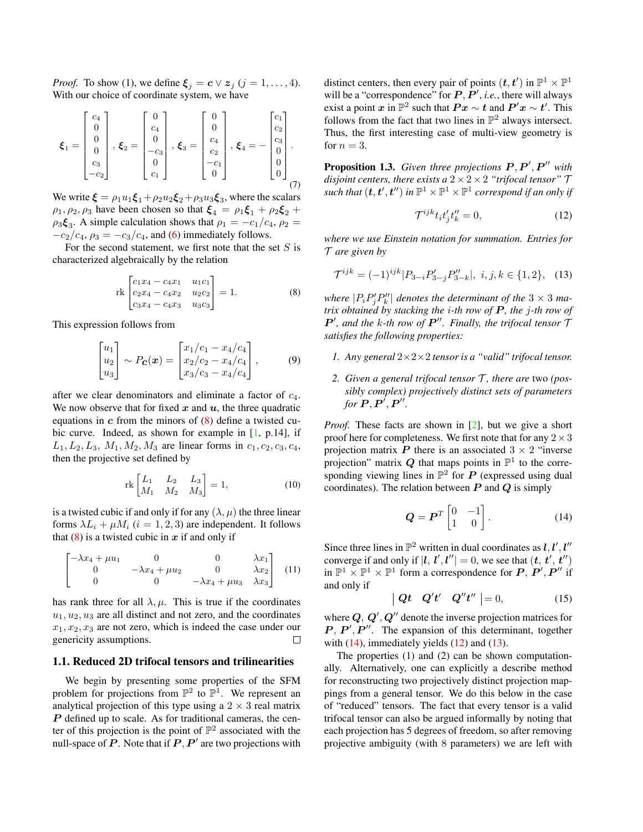<span id="page-1-4"></span>*Proof.* To show (1), we define  $\xi_j = c \vee z_j$  ( $j = 1, ..., 4$ ). With our choice of coordinate system, we have

$$
\boldsymbol{\xi}_1 = \begin{bmatrix} c_4 \\ 0 \\ 0 \\ 0 \\ c_3 \\ -c_2 \end{bmatrix}, \boldsymbol{\xi}_2 = \begin{bmatrix} 0 \\ c_4 \\ 0 \\ -c_3 \\ 0 \\ c_1 \end{bmatrix}, \boldsymbol{\xi}_3 = \begin{bmatrix} 0 \\ 0 \\ c_4 \\ c_2 \\ -c_1 \\ 0 \end{bmatrix}, \boldsymbol{\xi}_4 = - \begin{bmatrix} c_1 \\ c_2 \\ c_3 \\ 0 \\ 0 \\ 0 \end{bmatrix}.
$$
 (7)

We write  $\xi = \rho_1 u_1 \xi_1 + \rho_2 u_2 \xi_2 + \rho_3 u_3 \xi_3$ , where the scalars  $\rho_1$ ,  $\rho_2$ ,  $\rho_3$  have been chosen so that  $\xi_4 = \rho_1 \xi_1 + \rho_2 \xi_2 + \rho_3 \xi_3$  $\rho_3 \xi_3$ . A simple calculation shows that  $\rho_1 = -c_1/c_4$ ,  $\rho_2 =$  $-c_2/c_4$ ,  $\rho_3 = -c_3/c_4$ , and [\(6\)](#page-0-3) immediately follows.

For the second statement, we first note that the set  $S$  is characterized algebraically by the relation

<span id="page-1-0"></span>
$$
\operatorname{rk}\begin{bmatrix} c_1x_4 - c_4x_1 & u_1c_1\\ c_2x_4 - c_4x_2 & u_2c_2\\ c_3x_4 - c_4x_3 & u_3c_3 \end{bmatrix} = 1.
$$
 (8)

This expression follows from

$$
\begin{bmatrix} u_1 \\ u_2 \\ u_3 \end{bmatrix} \sim P_{\mathbf{C}}(\mathbf{x}) = \begin{bmatrix} x_1/c_1 - x_4/c_4 \\ x_2/c_2 - x_4/c_4 \\ x_3/c_3 - x_4/c_4 \end{bmatrix},
$$
(9)

after we clear denominators and eliminate a factor of  $c_4$ . We now observe that for fixed  $x$  and  $u$ , the three quadratic equations in  $c$  from the minors of  $(8)$  define a twisted cubic curve. Indeed, as shown for example in [\[1,](#page-4-0) p.14], if  $L_1, L_2, L_3, M_1, M_2, M_3$  are linear forms in  $c_1, c_2, c_3, c_4$ , then the projective set defined by

$$
\operatorname{rk}\begin{bmatrix} L_1 & L_2 & L_3 \\ M_1 & M_2 & M_3 \end{bmatrix} = 1, \tag{10}
$$

is a twisted cubic if and only if for any  $(\lambda, \mu)$  the three linear forms  $\lambda L_i + \mu M_i$  ( $i = 1, 2, 3$ ) are independent. It follows that  $(8)$  is a twisted cubic in x if and only if

$$
\begin{bmatrix} -\lambda x_4 + \mu u_1 & 0 & 0 & \lambda x_1 \\ 0 & -\lambda x_4 + \mu u_2 & 0 & \lambda x_2 \\ 0 & 0 & -\lambda x_4 + \mu u_3 & \lambda x_3 \end{bmatrix}
$$
 (11)

has rank three for all  $\lambda$ ,  $\mu$ . This is true if the coordinates  $u_1, u_2, u_3$  are all distinct and not zero, and the coordinates  $x_1, x_2, x_3$  are not zero, which is indeed the case under our genericity assumptions.  $\Box$ 

#### 1.1. Reduced 2D trifocal tensors and trilinearities

We begin by presenting some properties of the SFM problem for projections from  $\mathbb{P}^2$  to  $\mathbb{P}^1$ . We represent an analytical projection of this type using a  $2 \times 3$  real matrix  $\bf{P}$  defined up to scale. As for traditional cameras, the center of this projection is the point of  $\mathbb{P}^2$  associated with the null-space of  $P$ . Note that if  $P, P'$  are two projections with

distinct centers, then every pair of points  $(t, t')$  in  $\mathbb{P}^1 \times \mathbb{P}^1$ will be a "correspondence" for  $P, P', i.e.,$  there will always exist a point  $x$  in  $\mathbb{P}^2$  such that  $Px \sim t$  and  $P'x \sim t'$ . This follows from the fact that two lines in  $\mathbb{P}^2$  always intersect. Thus, the first interesting case of multi-view geometry is for  $n = 3$ .

**Proposition 1.3.** Given three projections  $P, P', P''$  with *disjoint centers, there exists a*  $2 \times 2 \times 2$  *"trifocal tensor"*  $\mathcal{T}$ such that  $(\boldsymbol{t},\boldsymbol{t}',\boldsymbol{t}'')$  in  $\mathbb{P}^1\times\mathbb{P}^1\times\mathbb{P}^1$  correspond if an only if

<span id="page-1-2"></span>
$$
\mathcal{T}^{ijk}t_i t'_j t''_k = 0,\tag{12}
$$

*where we use Einstein notation for summation. Entries for* T *are given by*

<span id="page-1-3"></span>
$$
\mathcal{T}^{ijk} = (-1)^{ijk} |P_{3-i} P'_{3-j} P''_{3-k}|, \ i, j, k \in \{1, 2\}, \quad (13)
$$

where  $|P_iP'_jP''_k|$  denotes the determinant of the  $3 \times 3$  ma*trix obtained by stacking the* i*-th row of* P *, the* j*-th row of*  $P'$ , and the k-th row of  $P''$ . Finally, the trifocal tensor  $\mathcal{I}$ *satisfies the following properties:*

- *1. Any general* 2×2×2 *tensor is a "valid" trifocal tensor.*
- 2. *Given a general trifocal tensor*  $\mathcal{T}$ *, there are two (possibly complex) projectively distinct sets of parameters* for  $\boldsymbol{P},\boldsymbol{P}',\boldsymbol{P}''$ .

*Proof.* These facts are shown in [\[2\]](#page-4-1), but we give a short proof here for completeness. We first note that for any  $2 \times 3$ projection matrix  $P$  there is an associated  $3 \times 2$  "inverse projection" matrix  $Q$  that maps points in  $\mathbb{P}^1$  to the corresponding viewing lines in  $\mathbb{P}^2$  for P (expressed using dual coordinates). The relation between  $P$  and  $Q$  is simply

<span id="page-1-1"></span>
$$
\mathbf{Q} = \mathbf{P}^T \begin{bmatrix} 0 & -1 \\ 1 & 0 \end{bmatrix} . \tag{14}
$$

Since three lines in  $\mathbb{P}^2$  written in dual coordinates as  $l, l', l''$ converge if and only if  $|l, l', l''| = 0$ , we see that  $(t, t', t'')$ in  $\mathbb{P}^1 \times \mathbb{P}^1 \times \mathbb{P}^1$  form a correspondence for  $P, P', P''$  if and only if

$$
\begin{vmatrix} \mathbf{Q}t & \mathbf{Q}'t' & \mathbf{Q}''t'' \end{vmatrix} = 0, \tag{15}
$$

where  $\bm{Q},\,\bm{Q}',\bm{Q}''$  denote the inverse projection matrices for  $P, P', P''$ . The expansion of this determinant, together with  $(14)$ , immediately yields  $(12)$  and  $(13)$ .

The properties (1) and (2) can be shown computationally. Alternatively, one can explicitly a describe method for reconstructing two projectively distinct projection mappings from a general tensor. We do this below in the case of "reduced" tensors. The fact that every tensor is a valid trifocal tensor can also be argued informally by noting that each projection has 5 degrees of freedom, so after removing projective ambiguity (with 8 parameters) we are left with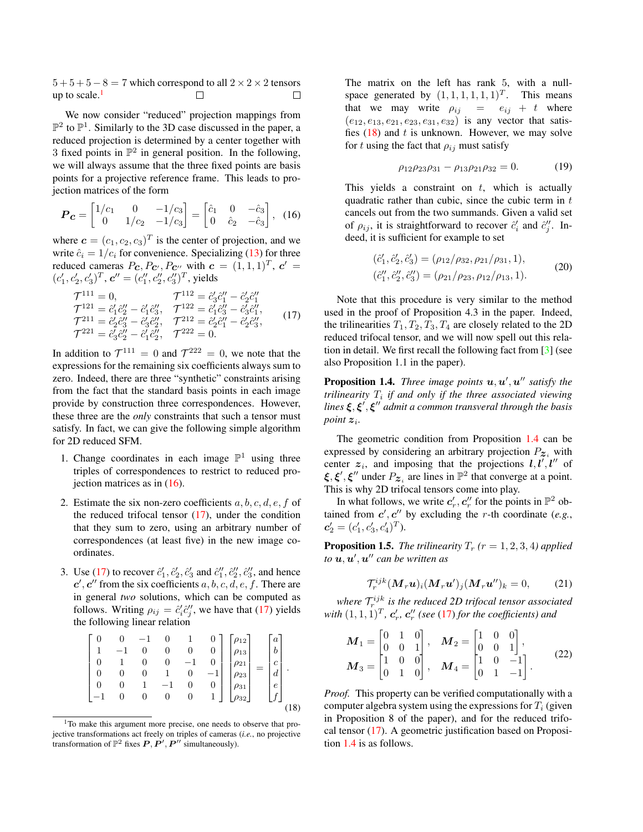<span id="page-2-8"></span> $5+5+5-8=7$  which correspond to all  $2 \times 2 \times 2$  tensors up to scale. $<sup>1</sup>$  $<sup>1</sup>$  $<sup>1</sup>$ </sup>  $\Box$  $\Box$ 

We now consider "reduced" projection mappings from  $\mathbb{P}^2$  to  $\mathbb{P}^1$ . Similarly to the 3D case discussed in the paper, a reduced projection is determined by a center together with 3 fixed points in  $\mathbb{P}^2$  in general position. In the following, we will always assume that the three fixed points are basis points for a projective reference frame. This leads to projection matrices of the form

<span id="page-2-1"></span>
$$
\boldsymbol{P}_{\boldsymbol{c}} = \begin{bmatrix} 1/c_1 & 0 & -1/c_3 \\ 0 & 1/c_2 & -1/c_3 \end{bmatrix} = \begin{bmatrix} \hat{c}_1 & 0 & -\hat{c}_3 \\ 0 & \hat{c}_2 & -\hat{c}_3 \end{bmatrix}, \tag{16}
$$

where  $\mathbf{c} = (c_1, c_2, c_3)^T$  is the center of projection, and we write  $\hat{c}_i = 1/c_i$  for convenience. Specializing [\(13\)](#page-1-3) for three reduced cameras  $P_{\boldsymbol{c}}, P_{\boldsymbol{c}'}, P_{\boldsymbol{c}''}$  with  $\boldsymbol{c} = (1, 1, 1)^T$ ,  $\boldsymbol{c}' =$  $(c'_1, c'_2, c'_3)^T$ ,  $c'' = (c''_1, c''_2, c''_3)^T$ , yields

<span id="page-2-2"></span>
$$
\begin{aligned}\n\mathcal{T}^{111} &= 0, &\mathcal{T}^{112} &= \hat{c}'_3 \hat{c}''_1 - \hat{c}'_2 \hat{c}''_1 \\
\mathcal{T}^{121} &= \hat{c}'_1 \hat{c}''_2 - \hat{c}'_1 \hat{c}''_3, &\mathcal{T}^{122} &= \hat{c}'_1 \hat{c}''_3 - \hat{c}'_3 \hat{c}''_1, \\
\mathcal{T}^{211} &= \hat{c}'_2 \hat{c}''_3 - \hat{c}'_3 \hat{c}''_2, &\mathcal{T}^{212} &= \hat{c}'_2 \hat{c}''_1 - \hat{c}'_2 \hat{c}''_3, \\
\mathcal{T}^{221} &= \hat{c}'_3 \hat{c}''_2 - \hat{c}'_1 \hat{c}''_2, &\mathcal{T}^{222} &= 0.\n\end{aligned}
$$
\n(17)

In addition to  $\mathcal{T}^{111} = 0$  and  $\mathcal{T}^{222} = 0$ , we note that the expressions for the remaining six coefficients always sum to zero. Indeed, there are three "synthetic" constraints arising from the fact that the standard basis points in each image provide by construction three correspondences. However, these three are the *only* constraints that such a tensor must satisfy. In fact, we can give the following simple algorithm for 2D reduced SFM.

- 1. Change coordinates in each image  $\mathbb{P}^1$  using three triples of correspondences to restrict to reduced projection matrices as in [\(16\)](#page-2-1).
- 2. Estimate the six non-zero coefficients  $a, b, c, d, e, f$  of the reduced trifocal tensor  $(17)$ , under the condition that they sum to zero, using an arbitrary number of correspondences (at least five) in the new image coordinates.
- 3. Use [\(17\)](#page-2-2) to recover  $\hat{c}'_1$ ,  $\hat{c}'_2$ ,  $\hat{c}'_3$  and  $\hat{c}''_1$ ,  $\hat{c}''_2$ ,  $\hat{c}''_3$ , and hence  $c', c''$  from the six coefficients  $a, b, c, d, e, f$ . There are in general *two* solutions, which can be computed as follows. Writing  $\rho_{ij} = \hat{c}'_i \hat{c}''_j$ , we have that [\(17\)](#page-2-2) yields the following linear relation

<span id="page-2-3"></span>
$$
\begin{bmatrix} 0 & 0 & -1 & 0 & 1 & 0 \ 1 & -1 & 0 & 0 & 0 & 0 \ 0 & 1 & 0 & 0 & -1 & 0 \ 0 & 0 & 0 & 1 & 0 & -1 \ 0 & 0 & 1 & -1 & 0 & 0 \ -1 & 0 & 0 & 0 & 0 & 1 \ \end{bmatrix} \begin{bmatrix} \rho_{12} \\ \rho_{21} \\ \rho_{22} \\ \rho_{31} \\ \rho_{32} \end{bmatrix} = \begin{bmatrix} a \\ b \\ c \\ d \\ e \\ f \end{bmatrix}.
$$
 (18)

The matrix on the left has rank 5, with a nullspace generated by  $(1, 1, 1, 1, 1, 1)^T$ . This means that we may write  $\rho_{ij} = e_{ij} + t$  where  $(e_{12}, e_{13}, e_{21}, e_{23}, e_{31}, e_{32})$  is any vector that satisfies  $(18)$  and t is unknown. However, we may solve for t using the fact that  $\rho_{ij}$  must satisfy

$$
\rho_{12}\rho_{23}\rho_{31} - \rho_{13}\rho_{21}\rho_{32} = 0. \tag{19}
$$

This yields a constraint on  $t$ , which is actually quadratic rather than cubic, since the cubic term in  $t$ cancels out from the two summands. Given a valid set of  $\rho_{ij}$ , it is straightforward to recover  $\hat{c}'_i$  and  $\hat{c}''_j$ . Indeed, it is sufficient for example to set

$$
(\hat{c}'_1, \hat{c}'_2, \hat{c}'_3) = (\rho_{12}/\rho_{32}, \rho_{21}/\rho_{31}, 1),
$$
  
\n
$$
(\hat{c}''_1, \hat{c}''_3, \hat{c}''_3) = (\rho_{21}/\rho_{23}, \rho_{12}/\rho_{13}, 1).
$$
\n(20)

Note that this procedure is very similar to the method used in the proof of Proposition 4.3 in the paper. Indeed, the trilinearities  $T_1, T_2, T_3, T_4$  are closely related to the 2D reduced trifocal tensor, and we will now spell out this relation in detail. We first recall the following fact from [\[3\]](#page-4-2) (see also Proposition 1.1 in the paper).

<span id="page-2-4"></span>**Proposition 1.4.** *Three image points*  $u, u', u''$  *satisfy the*  $t$ rilinearity  $T_i$  if and only if the three associated viewing lines  $\xi, \xi', \xi''$  admit a common transveral through the basis *point* z<sup>i</sup> *.*

The geometric condition from Proposition [1.4](#page-2-4) can be expressed by considering an arbitrary projection  $P_{z_i}$  with center  $z_i$ , and imposing that the projections  $l, l', l''$  of  $\xi, \xi', \xi''$  under  $P_{\mathcal{Z}_i}$  are lines in  $\mathbb{P}^2$  that converge at a point. This is why 2D trifocal tensors come into play.

In what follows, we write  $c'_r, c''_r$  for the points in  $\mathbb{P}^2$  obtained from  $c', c''$  by excluding the r-th coordinate (e.g.,  $c'_2 = (c'_1, c'_3, c'_4)^T$ .

<span id="page-2-6"></span>**Proposition 1.5.** *The trilinearity*  $T_r$  ( $r = 1, 2, 3, 4$ ) *applied* to  $\boldsymbol{u},\boldsymbol{u}^{\prime},\boldsymbol{u}^{\prime\prime}$  can be written as

<span id="page-2-5"></span>
$$
\mathcal{T}_r^{ijk} (\boldsymbol{M}_r \boldsymbol{u})_i (\boldsymbol{M}_r \boldsymbol{u}')_j (\boldsymbol{M}_r \boldsymbol{u}'')_k = 0, \qquad (21)
$$

where  $\mathcal{T}_r^{ijk}$  is the reduced 2D trifocal tensor associated with  $(1,1,1)^T$ ,  $\mathbf{c}'_r$ ,  $\mathbf{c}''_r$  (see [\(17\)](#page-2-2) for the coefficients) and

<span id="page-2-7"></span>
$$
\mathbf{M}_1 = \begin{bmatrix} 0 & 1 & 0 \\ 0 & 0 & 1 \\ 1 & 0 & 0 \\ 0 & 1 & 0 \end{bmatrix}, \quad \mathbf{M}_2 = \begin{bmatrix} 1 & 0 & 0 \\ 0 & 0 & 1 \\ 1 & 0 & -1 \\ 0 & 1 & -1 \end{bmatrix}, \tag{22}
$$

*Proof.* This property can be verified computationally with a computer algebra system using the expressions for  $T_i$  (given in Proposition 8 of the paper), and for the reduced trifocal tensor [\(17\)](#page-2-2). A geometric justification based on Proposition [1.4](#page-2-4) is as follows.

<span id="page-2-0"></span><sup>&</sup>lt;sup>1</sup>To make this argument more precise, one needs to observe that projective transformations act freely on triples of cameras (*i.e.*, no projective transformation of  $\mathbb{P}^2$  fixes  $P, P', P''$  simultaneously).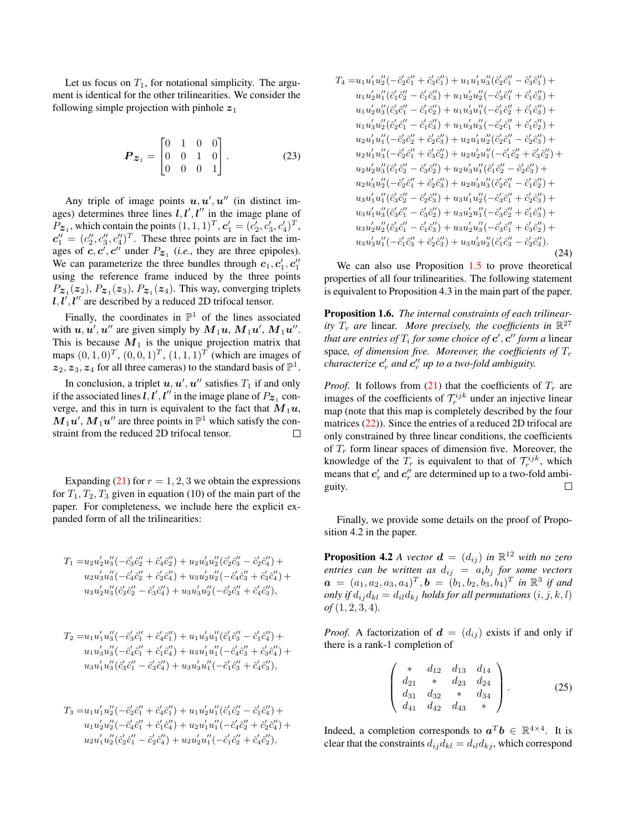Let us focus on  $T_1$ , for notational simplicity. The argument is identical for the other trilinearities. We consider the following simple projection with pinhole  $z_1$ 

$$
\boldsymbol{P}_{\boldsymbol{z}_1} = \begin{bmatrix} 0 & 1 & 0 & 0 \\ 0 & 0 & 1 & 0 \\ 0 & 0 & 0 & 1 \end{bmatrix} . \tag{23}
$$

Any triple of image points  $u, u', u''$  (in distinct images) determines three lines  $l, l', l''$  in the image plane of  $P_{\mathbf{z}_1}$ , which contain the points  $(1, 1, 1)^T$ ,  $\mathbf{c}'_1 = (c'_2, c'_3, c'_4)^T$ ,  $c_1'' = (c_2'', c_3'', c_4'')^T$ . These three points are in fact the images of  $c, c', c''$  under  $P_{z_1}$  (*i.e.*, they are three epipoles). We can parameterize the three bundles through  $c_1, c'_1, c''_1$ using the reference frame induced by the three points  $P_{\boldsymbol{z}_1}(\boldsymbol{z}_2), P_{\boldsymbol{z}_1}(\boldsymbol{z}_3), P_{\boldsymbol{z}_1}(\boldsymbol{z}_4)$ . This way, converging triplets  $l, l', l''$  are described by a reduced 2D trifocal tensor.

Finally, the coordinates in  $\mathbb{P}^1$  of the lines associated with  $u, u', u''$  are given simply by  $M_1u, M_1u', M_1u''$ . This is because  $M_1$  is the unique projection matrix that maps  $(0, 1, 0)^T$ ,  $(0, 0, 1)^T$ ,  $(1, 1, 1)^T$  (which are images of  $z_2, z_3, z_4$  for all three cameras) to the standard basis of  $\mathbb{P}^1$ .

In conclusion, a triplet  $u, u', u''$  satisfies  $T_1$  if and only if the associated lines  $l, l', l''$  in the image plane of  $P_{\boldsymbol{z}_1}$  converge, and this in turn is equivalent to the fact that  $M_1u$ ,  $M_1u'$ ,  $M_1u''$  are three points in  $\mathbb{P}^1$  which satisfy the constraint from the reduced 2D trifocal tensor.  $\Box$ 

Expanding  $(21)$  for  $r = 1, 2, 3$  we obtain the expressions for  $T_1, T_2, T_3$  given in equation (10) of the main part of the paper. For completeness, we include here the explicit expanded form of all the trilinearities:

$$
T_1 = u_2 u_2' u_3'' (-\hat{c}_3' \hat{c}_2'' + \hat{c}_4' \hat{c}_2'') + u_2 u_3' u_2'' (\hat{c}_2' \hat{c}_3'' - \hat{c}_2' \hat{c}_4'') +
$$
  
\n
$$
u_2 u_3' u_3'' (-\hat{c}_4' \hat{c}_2'' + \hat{c}_2' \hat{c}_4'') + u_3 u_2' u_2'' (-\hat{c}_4' \hat{c}_3'' + \hat{c}_3' \hat{c}_4'') +
$$
  
\n
$$
u_3 u_2' u_3'' (\hat{c}_3' \hat{c}_2'' - \hat{c}_3' \hat{c}_4'') + u_3 u_3' u_2'' (-\hat{c}_2' \hat{c}_3'' + \hat{c}_4' \hat{c}_3''),
$$

$$
T_2 = u_1 u_1' u_3''(-\hat{c}_3'\hat{c}_1'' + \hat{c}_4'\hat{c}_1'') + u_1 u_3' u_1''(\hat{c}_1'\hat{c}_3'' - \hat{c}_1'\hat{c}_4'') +
$$
  
\n
$$
u_1 u_3' u_3''(-\hat{c}_4'\hat{c}_1'' + \hat{c}_1'\hat{c}_4'') + u_3 u_1' u_1''(-\hat{c}_4'\hat{c}_3'' + \hat{c}_3'\hat{c}_4'') +
$$
  
\n
$$
u_3 u_1' u_3''(\hat{c}_3'\hat{c}_1'' - \hat{c}_3'\hat{c}_4'') + u_3 u_3' u_1''(-\hat{c}_1'\hat{c}_3'' + \hat{c}_4'\hat{c}_3''),
$$

$$
T_3 = u_1 u_1' u_2'' (-\hat{c}_2' \hat{c}_1'' + \hat{c}_4' \hat{c}_1'') + u_1 u_2' u_1'' (\hat{c}_1' \hat{c}_2'' - \hat{c}_1' \hat{c}_4'') +
$$
  
\n
$$
u_1 u_2' u_2'' (-\hat{c}_4' \hat{c}_1'' + \hat{c}_1' \hat{c}_4'') + u_2 u_1' u_1'' (-\hat{c}_4' \hat{c}_2'' + \hat{c}_2' \hat{c}_4'') +
$$
  
\n
$$
u_2 u_1' u_2'' (\hat{c}_2' \hat{c}_1'' - \hat{c}_2' \hat{c}_4'') + u_2 u_2' u_1'' (-\hat{c}_1' \hat{c}_2'' + \hat{c}_4' \hat{c}_2''),
$$

$$
T_4 = u_1u'_1u''_2(-\hat{c}'_2\hat{c}''_1 + \hat{c}'_3\hat{c}''_1) + u_1u'_1u''_3(\hat{c}'_2\hat{c}''_1 - \hat{c}'_3\hat{c}''_1) +u_1u'_2u''_1(\hat{c}'_1\hat{c}''_2 - \hat{c}'_1\hat{c}''_3) + u_1u'_2u''_2(-\hat{c}'_3\hat{c}''_1 + \hat{c}'_1\hat{c}''_3) +u_1u'_2u''_3(\hat{c}'_3\hat{c}''_1 - \hat{c}'_1\hat{c}''_2) + u_1u'_3u''_1(-\hat{c}'_1\hat{c}''_2 + \hat{c}'_1\hat{c}''_3) +u_1u'_3u''_2(\hat{c}'_2\hat{c}''_1 - \hat{c}'_1\hat{c}''_3) + u_1u'_3u''_3(-\hat{c}'_2\hat{c}''_1 + \hat{c}'_1\hat{c}''_2) +u_2u'_1u''_1(-\hat{c}'_3\hat{c}''_2 + \hat{c}'_2\hat{c}''_3) + u_2u'_1u''_2(\hat{c}'_2\hat{c}''_1 - \hat{c}'_2\hat{c}''_3) +u_2u'_1u''_3(-\hat{c}'_2\hat{c}''_1 + \hat{c}'_3\hat{c}''_2) + u_2u'_2u''_1(-\hat{c}'_1\hat{c}''_2 + \hat{c}'_3\hat{c}''_2) +u_2u'_2u''_3(\hat{c}'_1\hat{c}''_2 - \hat{c}'_3\hat{c}''_2) + u_2u'_3u''_1(\hat{c}'_1\hat{c}''_2 - \hat{c}'_2\hat{c}''_3) +u_2u'_3u''_2(-\hat{c}'_2\hat{c}''_1 + \hat{c}'_2\hat{c}''_3) + u_2u'_3u''_3(\hat{c}'_2\hat{c}''_1 - \hat{c}'_1\hat{c}''_2) +u_3u'_1u''_1(\hat{c}'_3\hat{c}''_2 - \hat{c}'_2\hat
$$

We can also use Proposition [1.5](#page-2-6) to prove theoretical properties of all four trilinearities. The following statement is equivalent to Proposition 4.3 in the main part of the paper.

Proposition 1.6. *The internal constraints of each trilinearity*  $\overline{T}_r$  are linear. More precisely, the coefficients in  $\mathbb{R}^{27}$ *that are entries of*  $T_i$  *for some choice of*  $\boldsymbol{c}' , \boldsymbol{c}''$  *form a linear* space, of dimension five. Moreover, the coefficients of  $T_r$ *characterize*  $c_r'$  *and*  $c_r''$  *up to a two-fold ambiguity.* 

*Proof.* It follows from [\(21\)](#page-2-5) that the coefficients of  $T_r$  are images of the coefficients of  $\mathcal{T}_r^{ijk}$  under an injective linear map (note that this map is completely described by the four matrices [\(22\)](#page-2-7)). Since the entries of a reduced 2D trifocal are only constrained by three linear conditions, the coefficients of  $T_r$  form linear spaces of dimension five. Moreover, the knowledge of the  $T_r$  is equivalent to that of  $\mathcal{T}_r^{ijk}$ , which means that  $c'_r$  and  $c''_r$  are determined up to a two-fold ambiguity.  $\Box$ 

Finally, we provide some details on the proof of Proposition 4.2 in the paper.

**Proposition 4.2** *A vector*  $\boldsymbol{d} = (d_{ij})$  *in*  $\mathbb{R}^{12}$  *with no zero*  $entries$  can be written as  $d_{ij} = a_i b_j$  for some vectors  $\boldsymbol{a} = (a_1, a_2, a_3, a_4)^T, \boldsymbol{b} = (b_1, b_2, b_3, b_4)^T$  in  $\mathbb{R}^3$  if and *only if*  $d_{ij}d_{kl} = d_{il}d_{kj}$  *holds for all permutations*  $(i, j, k, l)$ *of* (1, 2, 3, 4)*.*

*Proof.* A factorization of  $\mathbf{d} = (d_{ij})$  exists if and only if there is a rank-1 completion of

<span id="page-3-0"></span>
$$
\begin{pmatrix} * & d_{12} & d_{13} & d_{14} \\ d_{21} & * & d_{23} & d_{24} \\ d_{31} & d_{32} & * & d_{34} \\ d_{41} & d_{42} & d_{43} & * \end{pmatrix}.
$$
 (25)

Indeed, a completion corresponds to  $a^T b \in \mathbb{R}^{4 \times 4}$ . It is clear that the constraints  $d_{ij}d_{kl} = d_{il}d_{kj}$ , which correspond